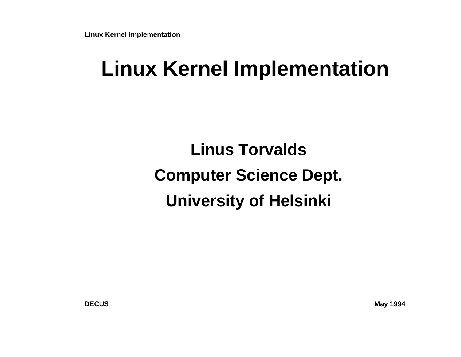**Linux Kernel Implementation**

### **Linux Kernel Implementation**

**Linus TorvaldsComputer Science Dept.University of Helsinki**

**May 1994**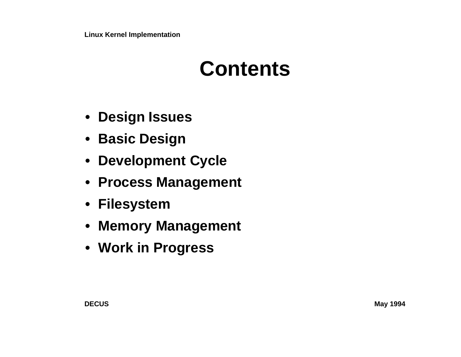### **Contents**

- **• Design Issues**
- **•Basic Design**
- **•Development Cycle**
- **• Process Management**
- **• Filesystem**
- **• Memory Management**
- **• Work in Progress**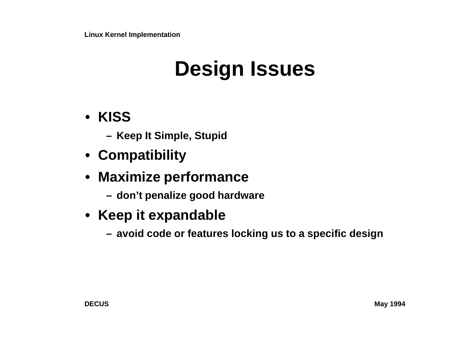# **Design Issues**

- **• KISS**
	- **– Keep It Simple, Stupid**
- **• Compatibility**
- **• Maximize performance**
	- **– don't penalize good hardware**
- **• Keep it expandable**
	- **– avoid code or features locking us to a specific design**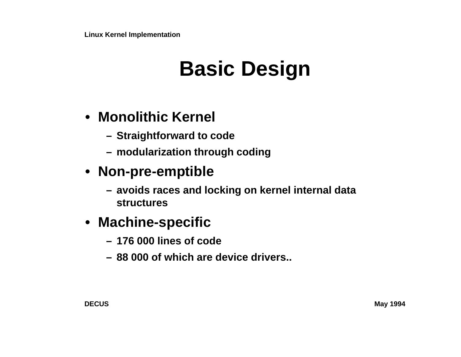## **Basic Design**

### **• Monolithic Kernel**

- **– Straightforward to code**
- **– modularization through coding**

#### **• Non-pre-emptible**

**– avoids races and locking on kernel internal data structures**

#### **• Machine-specific**

- **– 176 000 lines of code**
- **– 88 000 of which are device drivers..**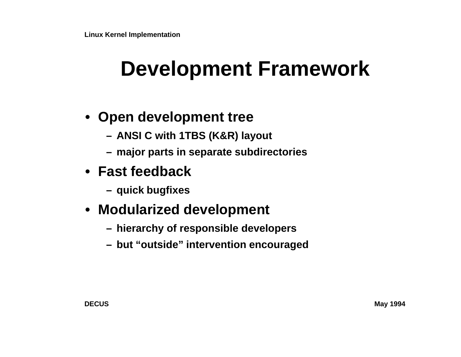### **Development Framework**

- **• Open development tree**
	- **– ANSI C with 1TBS (K&R) layout**
	- **– major parts in separate subdirectories**
- **• Fast feedback**
	- **– quick bugfixes**
- **• Modularized development**
	- **– hierarchy of responsible developers**
	- **– but "outside" intervention encouraged**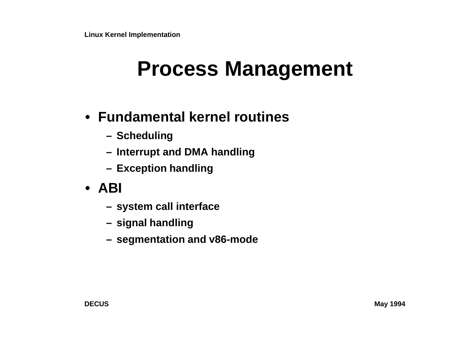### **Process Management**

- **• Fundamental kernel routines**
	- **– Scheduling**
	- **– Interrupt and DMA handling**
	- **– Exception handling**
- **• ABI**
	- **– system call interface**
	- **– signal handling**
	- **– segmentation and v86-mode**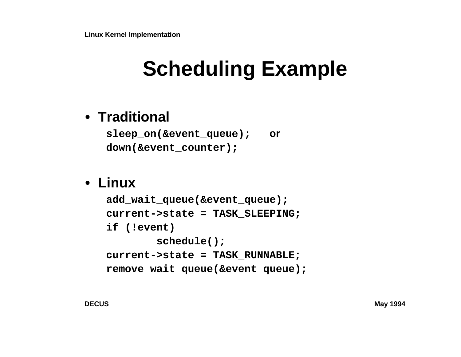# **Scheduling Example**

### **• Traditional**

**sleep\_on(&event\_queue); ordown(&event\_counter);**

#### **• Linux**

```

add_wait_queue(&event_queue);
current->state = TASK_SLEEPING;if (!event)
 schedule();
current->state = TASK_RUNNABLE;
remove_wait_queue(&event_queue);
```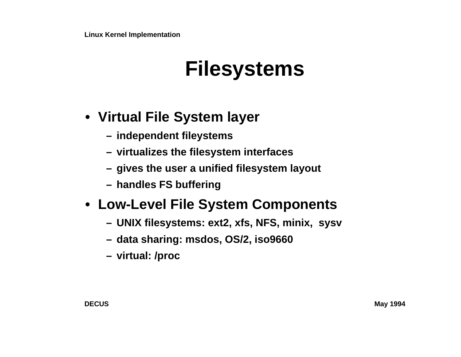### **Filesystems**

### **• Virtual File System layer**

- **– independent fileystems**
- **– virtualizes the filesystem interfaces**
- **– gives the user a unified filesystem layout**
- **– handles FS buffering**

### **• Low-Level File System Components**

- **– UNIX filesystems: ext2, xfs, NFS, minix, sysv**
- **– data sharing: msdos, OS/2, iso9660**
- **– virtual: /proc**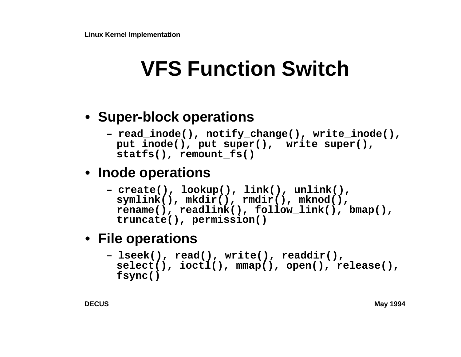## **VFS Function Switch**

### **• Super-block operations**

**– read\_inode(), notify\_change(), write\_inode(),** put inode(), put\_super(), write\_super(), **statfs(), remount\_fs()**

### **• Inode operations**

```

– create(), lookup(), link(), unlink(),
 symlink(), mkdir(), rmdir(), mknod(),
rename(), readlink(), follow_link(), bmap(),truncate(), permission()
```
### **• File operations**

```

– lseek(), read(), write(), readdir(),
 select(), ioctl(), mmap(), open(), release(),fsync()
```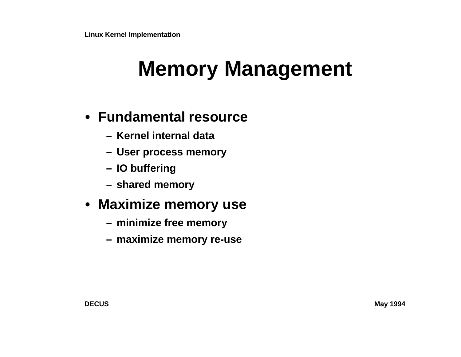## **Memory Management**

#### **• Fundamental resource**

- **– Kernel internal data**
- **– User process memory**
- **– IO buffering**
- **– shared memory**

#### **• Maximize memory use**

- **– minimize free memory**
- **– maximize memory re-use**